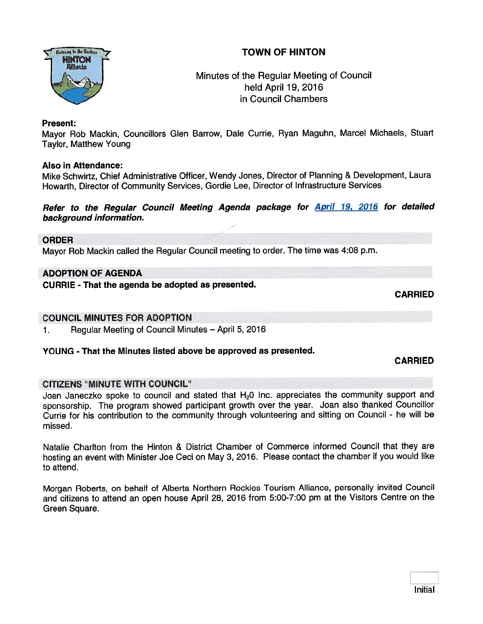# TOWN OF HINTON



# Minutes of the Regular Meeting of Council held April 19, 2016 in Council Chambers

### Present:

Mayor Rob Mackin, Councillors Glen Barrow, Dale Currie, Ryan Maguhn, Marcel Michaels, Stuart Taylor, Matthew Young

### Also in Attendance:

Mike Schwirtz, Chief Administrative Officer, Wendy Jones, Director of Planning & Development, Laura Howarth, Director of Community Services, Gordie Lee, Director of Infrastructure Services

Refer to the Regular Council Meeting Agenda package for **April 19, 2016** for detailed background information.

### ORDER

Mayor Rob Mackin called the Regular Council meeting to order. The time was 4:08 p.m.

### ADOPTION OF AGENDA

CURRIE - That the agenda be adopted as presented.

CARRIED

## COUNCIL MINUTES FOR ADOPTION

1. Regular Meeting of Council Minutes — April 5, 2016

# YOUNG - That the Minutes listed above be approved as presented.

CARRIED

# CITIZENS "MINUTE WITH COUNCIL"

Joan Janeczko spoke to council and stated that H<sub>2</sub>0 Inc. appreciates the community support and sponsorship. The program showed participant growth over the year. Joan also thanked Councillor Currie for his contribution to the community through volunteering and sitting on Council - he will be missed.

Natalie Chariton from the Hinton & District Chamber of Commerce informed Council that they are hosting an event with Minister Joe Ceci on May 3, 2016. Please contact the chamber if you would like to attend.

Morgan Roberts, on behalf of Alberta Northern Rockies Tourism Alliance, personally invited Council and citizens to attend an open house April 28, <sup>2016</sup> from 5:00-7:00 pm at the Visitors Centre on the Green Square.

Initial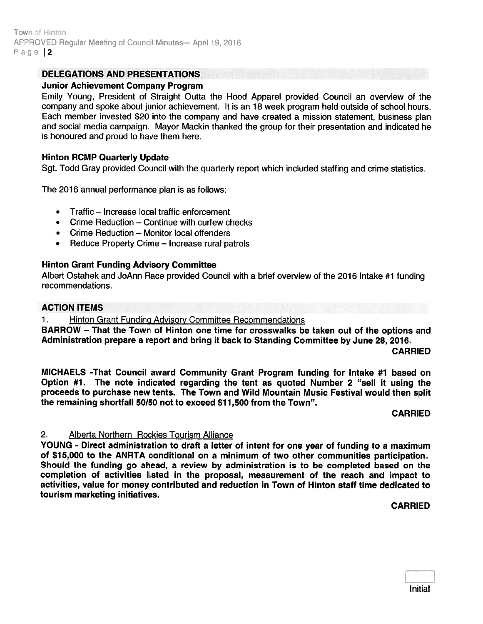Town of Hinton APPROVED Regular Meeting of Council Minutes— April 19, 2016 Page 12

### DELEGATIONS AND PRESENTATIONS

#### Junior Achievement Company Program

Emily Young, President of Straight Outta the Hood Apparel provided Council an overview of the company and spoke about junior achievement. It is an 18 week program held outside of school hours. Each member invested \$20 into the company and have created <sup>a</sup> mission statement, business plan and social media campaign. Mayor Mackin thanked the group for their presentation and indicated he is honoured and proud to have them here.

#### Hinton RCMP Quarterly Update

Sgt. Todd Gray provided Council with the quarterly repor<sup>t</sup> which included staffing and crime statistics.

The 2016 annual performance plan is as follows:

- •Traffic — Increase local traffic enforcement
- Crime Reduction Continue with curfew checks
- Crime Reduction Monitor local offenders
- Reduce Property Crime Increase rural patrols

#### Hinton Grant Funding Advisory Committee

Albert Ostahek and JoAnn Race provided Council with <sup>a</sup> brief overview of the 2016 Intake #1 funding recommendations.

#### ACTION ITEMS

1. Hinton Grant Funding Advisory Committee Recommendations

BARROW - That the Town of Hinton one time for crosswalks be taken out of the options and Administration prepare <sup>a</sup> repor<sup>t</sup> and bring it back to Standing Committee by June 28, 2016.

CARRIED

MICHAELS -That Council award Community Grant Program funding for Intake #1 based on Option #1. The note indicated regarding the tent as quoted Number <sup>2</sup> "sell it using the proceeds to purchase new tents. The Town and Wild Mountain Music Festival would then split the remaining shortfall 50/50 not to exceed \$11,500 from the Town".

#### CARRIED

#### 2. Alberta Northern Rockies Tourism Alliance

YOUNG - Direct administration to draft <sup>a</sup> letter of intent for one year of funding to <sup>a</sup> maximum of \$15,000 to the ANRTA conditional on <sup>a</sup> minimum of two other communities participation. Should the funding go ahead, <sup>a</sup> review by administration is to be completed based on the completion of activities listed in the proposal, measurement of the reach and impact to activities, value for money contributed and reduction in Town of Hinton staff time dedicated to tourism marketing initiatives.

CARRIED